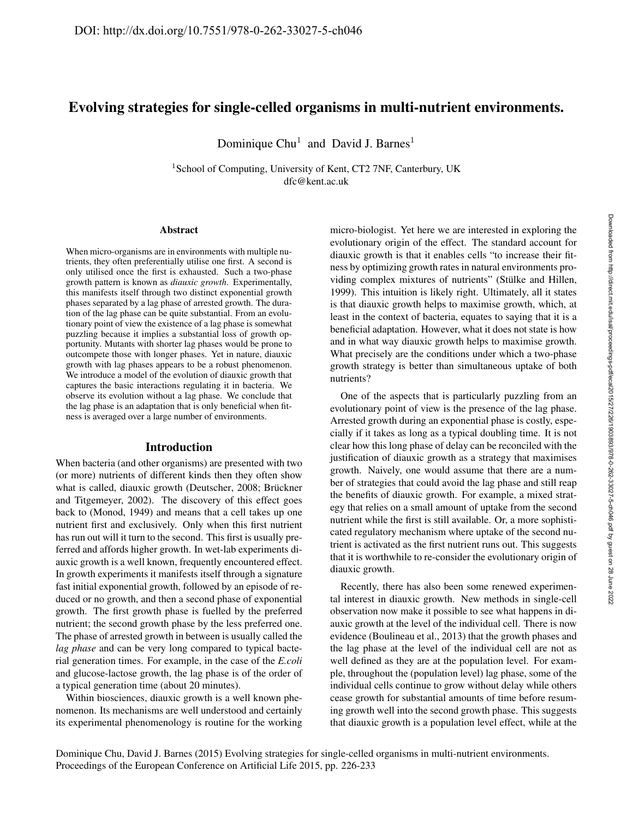# Evolving strategies for single-celled organisms in multi-nutrient environments.

Dominique Chu<sup>1</sup> and David J. Barnes<sup>1</sup>

<sup>1</sup> School of Computing, University of Kent, CT2 7NF, Canterbury, UK dfc@kent.ac.uk

#### Abstract

When micro-organisms are in environments with multiple nutrients, they often preferentially utilise one first. A second is only utilised once the first is exhausted. Such a two-phase growth pattern is known as *diauxic growth*. Experimentally, this manifests itself through two distinct exponential growth phases separated by a lag phase of arrested growth. The duration of the lag phase can be quite substantial. From an evolutionary point of view the existence of a lag phase is somewhat puzzling because it implies a substantial loss of growth opportunity. Mutants with shorter lag phases would be prone to outcompete those with longer phases. Yet in nature, diauxic growth with lag phases appears to be a robust phenomenon. We introduce a model of the evolution of diauxic growth that captures the basic interactions regulating it in bacteria. We observe its evolution without a lag phase. We conclude that the lag phase is an adaptation that is only beneficial when fitness is averaged over a large number of environments.

#### Introduction

When bacteria (and other organisms) are presented with two (or more) nutrients of different kinds then they often show what is called, diauxic growth (Deutscher, 2008; Brückner and Titgemeyer, 2002). The discovery of this effect goes back to (Monod, 1949) and means that a cell takes up one nutrient first and exclusively. Only when this first nutrient has run out will it turn to the second. This first is usually preferred and affords higher growth. In wet-lab experiments diauxic growth is a well known, frequently encountered effect. In growth experiments it manifests itself through a signature fast initial exponential growth, followed by an episode of reduced or no growth, and then a second phase of exponential growth. The first growth phase is fuelled by the preferred nutrient; the second growth phase by the less preferred one. The phase of arrested growth in between is usually called the *lag phase* and can be very long compared to typical bacterial generation times. For example, in the case of the *E.coli* and glucose-lactose growth, the lag phase is of the order of a typical generation time (about 20 minutes).

Within biosciences, diauxic growth is a well known phenomenon. Its mechanisms are well understood and certainly its experimental phenomenology is routine for the working micro-biologist. Yet here we are interested in exploring the evolutionary origin of the effect. The standard account for diauxic growth is that it enables cells "to increase their fitness by optimizing growth rates in natural environments providing complex mixtures of nutrients" (Stülke and Hillen, 1999). This intuition is likely right. Ultimately, all it states is that diauxic growth helps to maximise growth, which, at least in the context of bacteria, equates to saying that it is a beneficial adaptation. However, what it does not state is how and in what way diauxic growth helps to maximise growth. What precisely are the conditions under which a two-phase growth strategy is better than simultaneous uptake of both nutrients?

One of the aspects that is particularly puzzling from an evolutionary point of view is the presence of the lag phase. Arrested growth during an exponential phase is costly, especially if it takes as long as a typical doubling time. It is not clear how this long phase of delay can be reconciled with the justification of diauxic growth as a strategy that maximises growth. Naively, one would assume that there are a number of strategies that could avoid the lag phase and still reap the benefits of diauxic growth. For example, a mixed strategy that relies on a small amount of uptake from the second nutrient while the first is still available. Or, a more sophisticated regulatory mechanism where uptake of the second nutrient is activated as the first nutrient runs out. This suggests that it is worthwhile to re-consider the evolutionary origin of diauxic growth.

Recently, there has also been some renewed experimental interest in diauxic growth. New methods in single-cell observation now make it possible to see what happens in diauxic growth at the level of the individual cell. There is now evidence (Boulineau et al., 2013) that the growth phases and the lag phase at the level of the individual cell are not as well defined as they are at the population level. For example, throughout the (population level) lag phase, some of the individual cells continue to grow without delay while others cease growth for substantial amounts of time before resuming growth well into the second growth phase. This suggests that diauxic growth is a population level effect, while at the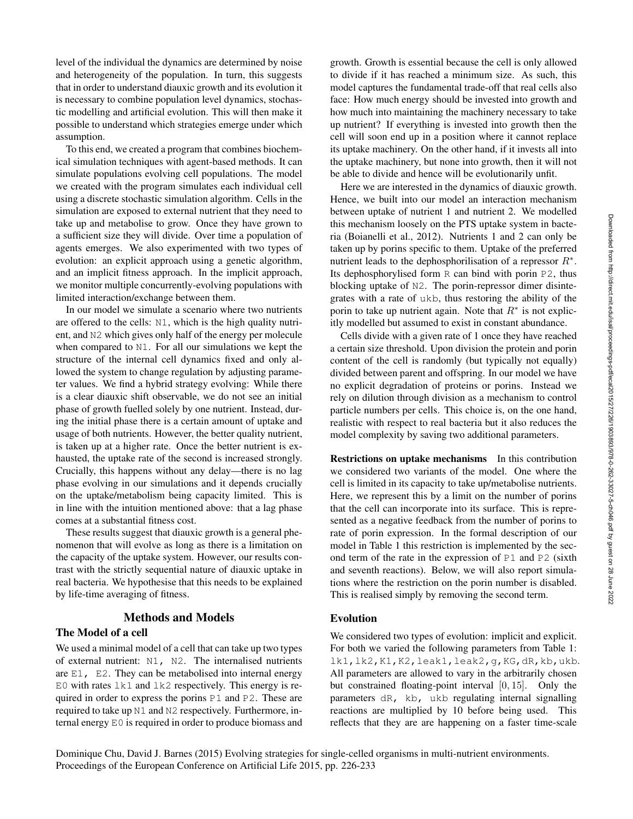level of the individual the dynamics are determined by noise and heterogeneity of the population. In turn, this suggests that in order to understand diauxic growth and its evolution it is necessary to combine population level dynamics, stochastic modelling and artificial evolution. This will then make it possible to understand which strategies emerge under which assumption.

To this end, we created a program that combines biochemical simulation techniques with agent-based methods. It can simulate populations evolving cell populations. The model we created with the program simulates each individual cell using a discrete stochastic simulation algorithm. Cells in the simulation are exposed to external nutrient that they need to take up and metabolise to grow. Once they have grown to a sufficient size they will divide. Over time a population of agents emerges. We also experimented with two types of evolution: an explicit approach using a genetic algorithm, and an implicit fitness approach. In the implicit approach, we monitor multiple concurrently-evolving populations with limited interaction/exchange between them.

In our model we simulate a scenario where two nutrients are offered to the cells: N1, which is the high quality nutrient, and N2 which gives only half of the energy per molecule when compared to N1. For all our simulations we kept the structure of the internal cell dynamics fixed and only allowed the system to change regulation by adjusting parameter values. We find a hybrid strategy evolving: While there is a clear diauxic shift observable, we do not see an initial phase of growth fuelled solely by one nutrient. Instead, during the initial phase there is a certain amount of uptake and usage of both nutrients. However, the better quality nutrient, is taken up at a higher rate. Once the better nutrient is exhausted, the uptake rate of the second is increased strongly. Crucially, this happens without any delay—there is no lag phase evolving in our simulations and it depends crucially on the uptake/metabolism being capacity limited. This is in line with the intuition mentioned above: that a lag phase comes at a substantial fitness cost.

These results suggest that diauxic growth is a general phenomenon that will evolve as long as there is a limitation on the capacity of the uptake system. However, our results contrast with the strictly sequential nature of diauxic uptake in real bacteria. We hypothesise that this needs to be explained by life-time averaging of fitness.

# Methods and Models

# The Model of a cell

We used a minimal model of a cell that can take up two types of external nutrient: N1, N2. The internalised nutrients are  $E1$ ,  $E2$ . They can be metabolised into internal energy E0 with rates  $1k1$  and  $1k2$  respectively. This energy is required in order to express the porins P1 and P2. These are required to take up N1 and N2 respectively. Furthermore, internal energy E0 is required in order to produce biomass and

growth. Growth is essential because the cell is only allowed to divide if it has reached a minimum size. As such, this model captures the fundamental trade-off that real cells also face: How much energy should be invested into growth and how much into maintaining the machinery necessary to take up nutrient? If everything is invested into growth then the cell will soon end up in a position where it cannot replace its uptake machinery. On the other hand, if it invests all into the uptake machinery, but none into growth, then it will not be able to divide and hence will be evolutionarily unfit.

Here we are interested in the dynamics of diauxic growth. Hence, we built into our model an interaction mechanism between uptake of nutrient 1 and nutrient 2. We modelled this mechanism loosely on the PTS uptake system in bacteria (Boianelli et al., 2012). Nutrients 1 and 2 can only be taken up by porins specific to them. Uptake of the preferred nutrient leads to the dephosphorilisation of a repressor  $R^*$ . Its dephosphorylised form R can bind with porin P2, thus blocking uptake of N2. The porin-repressor dimer disintegrates with a rate of ukb, thus restoring the ability of the porin to take up nutrient again. Note that  $R^*$  is not explicitly modelled but assumed to exist in constant abundance.

Cells divide with a given rate of 1 once they have reached a certain size threshold. Upon division the protein and porin content of the cell is randomly (but typically not equally) divided between parent and offspring. In our model we have no explicit degradation of proteins or porins. Instead we rely on dilution through division as a mechanism to control particle numbers per cells. This choice is, on the one hand, realistic with respect to real bacteria but it also reduces the model complexity by saving two additional parameters.

Restrictions on uptake mechanisms In this contribution we considered two variants of the model. One where the cell is limited in its capacity to take up/metabolise nutrients. Here, we represent this by a limit on the number of porins that the cell can incorporate into its surface. This is represented as a negative feedback from the number of porins to rate of porin expression. In the formal description of our model in Table 1 this restriction is implemented by the second term of the rate in the expression of P1 and P2 (sixth and seventh reactions). Below, we will also report simulations where the restriction on the porin number is disabled. This is realised simply by removing the second term.

### Evolution

We considered two types of evolution: implicit and explicit. For both we varied the following parameters from Table 1: lk1,lk2,K1,K2,leak1,leak2,g,KG,dR,kb,ukb. All parameters are allowed to vary in the arbitrarily chosen but constrained floating-point interval [0, 15]. Only the parameters dR, kb, ukb regulating internal signalling reactions are multiplied by 10 before being used. This reflects that they are are happening on a faster time-scale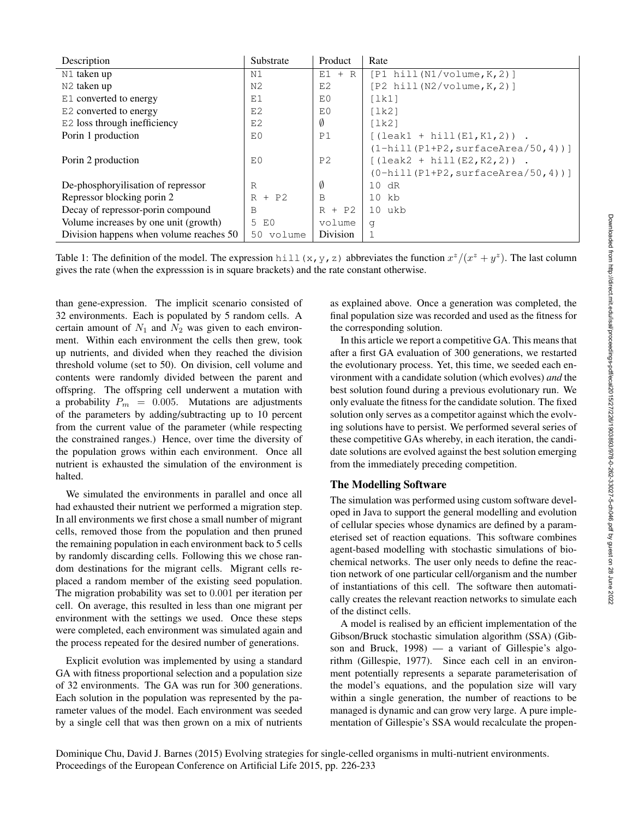| Description                             | Substrate      | Product        | Rate                                   |
|-----------------------------------------|----------------|----------------|----------------------------------------|
| N1 taken up                             | N1             | $E1 + R$       | $[P1 \text{ hill} (N1/volume, K, 2)]$  |
| N <sub>2</sub> taken up                 | N <sub>2</sub> | E2             | $[P2 \text{ hill} (N2/volume, K, 2)]$  |
| E1 converted to energy                  | E1             | E0             | [lk1]                                  |
| E2 converted to energy                  | E2             | E0             | [lk2]                                  |
| E2 loss through inefficiency            | E2             | Ø              | [1k2]                                  |
| Porin 1 production                      | E0             | P1             | $[(\text{leak1 + hill(E1,K1,2))}.$     |
|                                         |                |                | $(l-hill(P1+P2, surfaceArea/50, 4))$ ] |
| Porin 2 production                      | E <sub>0</sub> | P <sub>2</sub> | $[(\text{leak2 + hill(E2, K2, 2))}$ .  |
|                                         |                |                | $(0-hill(P1+P2, surfaceArea/50, 4))$   |
| De-phosphoryilisation of repressor      | R              | Ø              | 10 dR                                  |
| Repressor blocking porin 2              | $R + P2$       | B              | $10$ $kb$                              |
| Decay of repressor-porin compound       | B              | $R + P2$       | 10 ukb                                 |
| Volume increases by one unit (growth)   | 5 E0           | volume         | q                                      |
| Division happens when volume reaches 50 | volume<br>50   | Division       |                                        |

Table 1: The definition of the model. The expression hill  $(x, y, z)$  abbreviates the function  $x^2/(x^2 + y^2)$ . The last column gives the rate (when the expresssion is in square brackets) and the rate constant otherwise.

than gene-expression. The implicit scenario consisted of 32 environments. Each is populated by 5 random cells. A certain amount of  $N_1$  and  $N_2$  was given to each environment. Within each environment the cells then grew, took up nutrients, and divided when they reached the division threshold volume (set to 50). On division, cell volume and contents were randomly divided between the parent and offspring. The offspring cell underwent a mutation with a probability  $P_m = 0.005$ . Mutations are adjustments of the parameters by adding/subtracting up to 10 percent from the current value of the parameter (while respecting the constrained ranges.) Hence, over time the diversity of the population grows within each environment. Once all nutrient is exhausted the simulation of the environment is halted.

We simulated the environments in parallel and once all had exhausted their nutrient we performed a migration step. In all environments we first chose a small number of migrant cells, removed those from the population and then pruned the remaining population in each environment back to 5 cells by randomly discarding cells. Following this we chose random destinations for the migrant cells. Migrant cells replaced a random member of the existing seed population. The migration probability was set to 0.001 per iteration per cell. On average, this resulted in less than one migrant per environment with the settings we used. Once these steps were completed, each environment was simulated again and the process repeated for the desired number of generations.

Explicit evolution was implemented by using a standard GA with fitness proportional selection and a population size of 32 environments. The GA was run for 300 generations. Each solution in the population was represented by the parameter values of the model. Each environment was seeded by a single cell that was then grown on a mix of nutrients

as explained above. Once a generation was completed, the final population size was recorded and used as the fitness for the corresponding solution.

In this article we report a competitive GA. This means that after a first GA evaluation of 300 generations, we restarted the evolutionary process. Yet, this time, we seeded each environment with a candidate solution (which evolves) *and* the best solution found during a previous evolutionary run. We only evaluate the fitness for the candidate solution. The fixed solution only serves as a competitor against which the evolving solutions have to persist. We performed several series of these competitive GAs whereby, in each iteration, the candidate solutions are evolved against the best solution emerging from the immediately preceding competition.

# The Modelling Software

The simulation was performed using custom software developed in Java to support the general modelling and evolution of cellular species whose dynamics are defined by a parameterised set of reaction equations. This software combines agent-based modelling with stochastic simulations of biochemical networks. The user only needs to define the reaction network of one particular cell/organism and the number of instantiations of this cell. The software then automatically creates the relevant reaction networks to simulate each of the distinct cells.

A model is realised by an efficient implementation of the Gibson/Bruck stochastic simulation algorithm (SSA) (Gibson and Bruck, 1998) — a variant of Gillespie's algorithm (Gillespie, 1977). Since each cell in an environment potentially represents a separate parameterisation of the model's equations, and the population size will vary within a single generation, the number of reactions to be managed is dynamic and can grow very large. A pure implementation of Gillespie's SSA would recalculate the propen-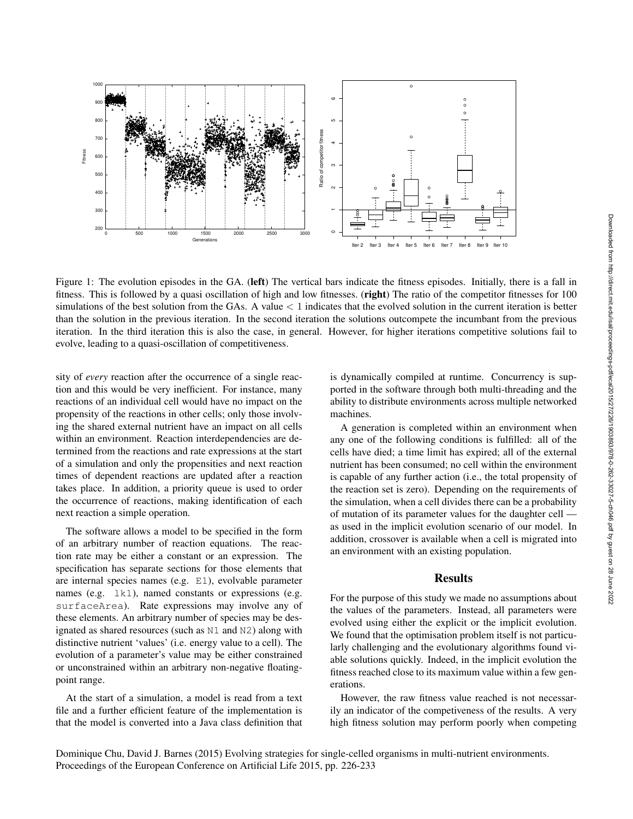

Figure 1: The evolution episodes in the GA. (left) The vertical bars indicate the fitness episodes. Initially, there is a fall in fitness. This is followed by a quasi oscillation of high and low fitnesses. (right) The ratio of the competitor fitnesses for 100 simulations of the best solution from the GAs. A value  $\lt 1$  indicates that the evolved solution in the current iteration is better than the solution in the previous iteration. In the second iteration the solutions outcompete the incumbant from the previous iteration. In the third iteration this is also the case, in general. However, for higher iterations competitive solutions fail to evolve, leading to a quasi-oscillation of competitiveness.

sity of *every* reaction after the occurrence of a single reaction and this would be very inefficient. For instance, many reactions of an individual cell would have no impact on the propensity of the reactions in other cells; only those involving the shared external nutrient have an impact on all cells within an environment. Reaction interdependencies are determined from the reactions and rate expressions at the start of a simulation and only the propensities and next reaction times of dependent reactions are updated after a reaction takes place. In addition, a priority queue is used to order the occurrence of reactions, making identification of each next reaction a simple operation.

The software allows a model to be specified in the form of an arbitrary number of reaction equations. The reaction rate may be either a constant or an expression. The specification has separate sections for those elements that are internal species names (e.g. E1), evolvable parameter names (e.g. 1k1), named constants or expressions (e.g. surfaceArea). Rate expressions may involve any of these elements. An arbitrary number of species may be designated as shared resources (such as N1 and N2) along with distinctive nutrient 'values' (i.e. energy value to a cell). The evolution of a parameter's value may be either constrained or unconstrained within an arbitrary non-negative floatingpoint range.

At the start of a simulation, a model is read from a text file and a further efficient feature of the implementation is that the model is converted into a Java class definition that

is dynamically compiled at runtime. Concurrency is supported in the software through both multi-threading and the ability to distribute environments across multiple networked machines.

A generation is completed within an environment when any one of the following conditions is fulfilled: all of the cells have died; a time limit has expired; all of the external nutrient has been consumed; no cell within the environment is capable of any further action (i.e., the total propensity of the reaction set is zero). Depending on the requirements of the simulation, when a cell divides there can be a probability of mutation of its parameter values for the daughter cell as used in the implicit evolution scenario of our model. In addition, crossover is available when a cell is migrated into an environment with an existing population.

# Results

For the purpose of this study we made no assumptions about the values of the parameters. Instead, all parameters were evolved using either the explicit or the implicit evolution. We found that the optimisation problem itself is not particularly challenging and the evolutionary algorithms found viable solutions quickly. Indeed, in the implicit evolution the fitness reached close to its maximum value within a few generations.

However, the raw fitness value reached is not necessarily an indicator of the competiveness of the results. A very high fitness solution may perform poorly when competing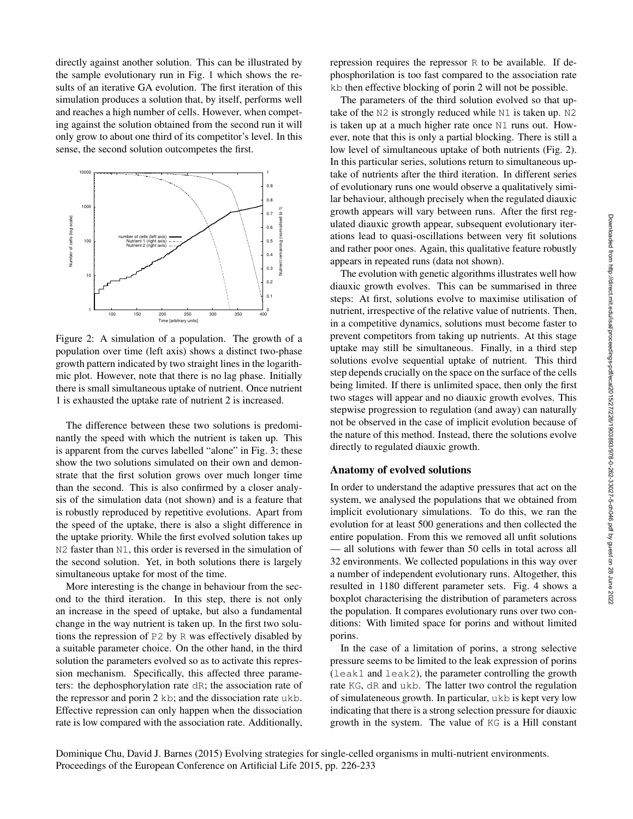directly against another solution. This can be illustrated by the sample evolutionary run in Fig. 1 which shows the results of an iterative GA evolution. The first iteration of this simulation produces a solution that, by itself, performs well and reaches a high number of cells. However, when competing against the solution obtained from the second run it will only grow to about one third of its competitor's level. In this sense, the second solution outcompetes the first.



Figure 2: A simulation of a population. The growth of a population over time (left axis) shows a distinct two-phase growth pattern indicated by two straight lines in the logarithmic plot. However, note that there is no lag phase. Initially there is small simultaneous uptake of nutrient. Once nutrient 1 is exhausted the uptake rate of nutrient 2 is increased.

The difference between these two solutions is predominantly the speed with which the nutrient is taken up. This is apparent from the curves labelled "alone" in Fig. 3; these show the two solutions simulated on their own and demonstrate that the first solution grows over much longer time than the second. This is also confirmed by a closer analysis of the simulation data (not shown) and is a feature that is robustly reproduced by repetitive evolutions. Apart from the speed of the uptake, there is also a slight difference in the uptake priority. While the first evolved solution takes up N2 faster than N1, this order is reversed in the simulation of the second solution. Yet, in both solutions there is largely simultaneous uptake for most of the time.

More interesting is the change in behaviour from the second to the third iteration. In this step, there is not only an increase in the speed of uptake, but also a fundamental change in the way nutrient is taken up. In the first two solutions the repression of P2 by R was effectively disabled by a suitable parameter choice. On the other hand, in the third solution the parameters evolved so as to activate this repression mechanism. Specifically, this affected three parameters: the dephosphorylation rate dR; the association rate of the repressor and porin 2 kb; and the dissociation rate ukb. Effective repression can only happen when the dissociation rate is low compared with the association rate. Additionally,

repression requires the repressor R to be available. If dephosphorilation is too fast compared to the association rate kb then effective blocking of porin 2 will not be possible.

The parameters of the third solution evolved so that uptake of the N2 is strongly reduced while N1 is taken up. N2 is taken up at a much higher rate once N1 runs out. However, note that this is only a partial blocking. There is still a low level of simultaneous uptake of both nutrients (Fig. 2). In this particular series, solutions return to simultaneous uptake of nutrients after the third iteration. In different series of evolutionary runs one would observe a qualitatively similar behaviour, although precisely when the regulated diauxic growth appears will vary between runs. After the first regulated diauxic growth appear, subsequent evolutionary iterations lead to quasi-oscillations between very fit solutions and rather poor ones. Again, this qualitative feature robustly appears in repeated runs (data not shown).

The evolution with genetic algorithms illustrates well how diauxic growth evolves. This can be summarised in three steps: At first, solutions evolve to maximise utilisation of nutrient, irrespective of the relative value of nutrients. Then, in a competitive dynamics, solutions must become faster to prevent competitors from taking up nutrients. At this stage uptake may still be simultaneous. Finally, in a third step solutions evolve sequential uptake of nutrient. This third step depends crucially on the space on the surface of the cells being limited. If there is unlimited space, then only the first two stages will appear and no diauxic growth evolves. This stepwise progression to regulation (and away) can naturally not be observed in the case of implicit evolution because of the nature of this method. Instead, there the solutions evolve directly to regulated diauxic growth.

### Anatomy of evolved solutions

In order to understand the adaptive pressures that act on the system, we analysed the populations that we obtained from implicit evolutionary simulations. To do this, we ran the evolution for at least 500 generations and then collected the entire population. From this we removed all unfit solutions — all solutions with fewer than 50 cells in total across all 32 environments. We collected populations in this way over a number of independent evolutionary runs. Altogether, this resulted in 1180 different parameter sets. Fig. 4 shows a boxplot characterising the distribution of parameters across the population. It compares evolutionary runs over two conditions: With limited space for porins and without limited porins.

In the case of a limitation of porins, a strong selective pressure seems to be limited to the leak expression of porins (leak1 and leak2), the parameter controlling the growth rate KG, dR and ukb. The latter two control the regulation of simulateneous growth. In particular, ukb is kept very low indicating that there is a strong selection pressure for diauxic growth in the system. The value of KG is a Hill constant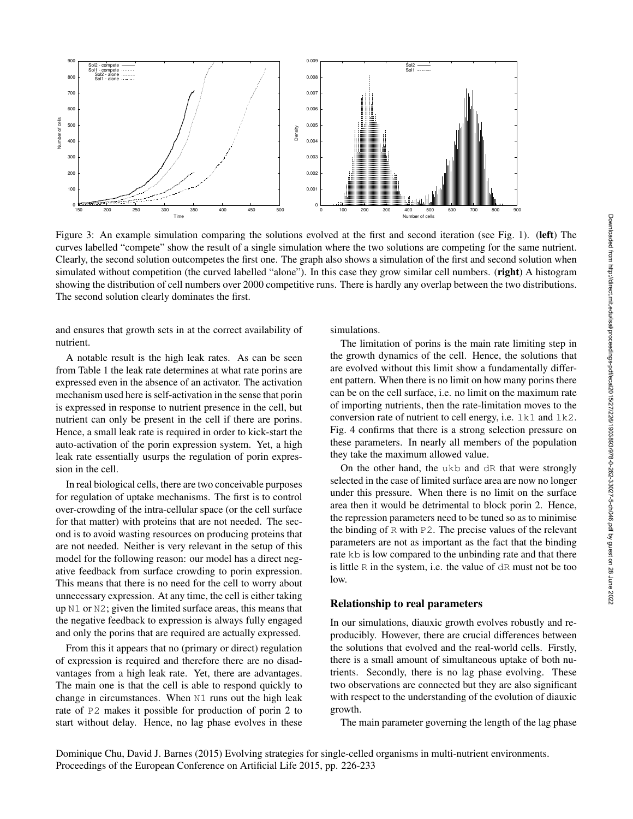

Figure 3: An example simulation comparing the solutions evolved at the first and second iteration (see Fig. 1). (left) The curves labelled "compete" show the result of a single simulation where the two solutions are competing for the same nutrient. Clearly, the second solution outcompetes the first one. The graph also shows a simulation of the first and second solution when simulated without competition (the curved labelled "alone"). In this case they grow similar cell numbers. (right) A histogram showing the distribution of cell numbers over 2000 competitive runs. There is hardly any overlap between the two distributions. The second solution clearly dominates the first.

and ensures that growth sets in at the correct availability of nutrient.

A notable result is the high leak rates. As can be seen from Table 1 the leak rate determines at what rate porins are expressed even in the absence of an activator. The activation mechanism used here is self-activation in the sense that porin is expressed in response to nutrient presence in the cell, but nutrient can only be present in the cell if there are porins. Hence, a small leak rate is required in order to kick-start the auto-activation of the porin expression system. Yet, a high leak rate essentially usurps the regulation of porin expression in the cell.

In real biological cells, there are two conceivable purposes for regulation of uptake mechanisms. The first is to control over-crowding of the intra-cellular space (or the cell surface for that matter) with proteins that are not needed. The second is to avoid wasting resources on producing proteins that are not needed. Neither is very relevant in the setup of this model for the following reason: our model has a direct negative feedback from surface crowding to porin expression. This means that there is no need for the cell to worry about unnecessary expression. At any time, the cell is either taking up N1 or N2; given the limited surface areas, this means that the negative feedback to expression is always fully engaged and only the porins that are required are actually expressed.

From this it appears that no (primary or direct) regulation of expression is required and therefore there are no disadvantages from a high leak rate. Yet, there are advantages. The main one is that the cell is able to respond quickly to change in circumstances. When N1 runs out the high leak rate of P2 makes it possible for production of porin 2 to start without delay. Hence, no lag phase evolves in these

simulations.

The limitation of porins is the main rate limiting step in the growth dynamics of the cell. Hence, the solutions that are evolved without this limit show a fundamentally different pattern. When there is no limit on how many porins there can be on the cell surface, i.e. no limit on the maximum rate of importing nutrients, then the rate-limitation moves to the conversion rate of nutrient to cell energy, i.e.  $1k1$  and  $1k2$ . Fig. 4 confirms that there is a strong selection pressure on these parameters. In nearly all members of the population they take the maximum allowed value.

On the other hand, the ukb and dR that were strongly selected in the case of limited surface area are now no longer under this pressure. When there is no limit on the surface area then it would be detrimental to block porin 2. Hence, the repression parameters need to be tuned so as to minimise the binding of R with P2. The precise values of the relevant parameters are not as important as the fact that the binding rate kb is low compared to the unbinding rate and that there is little R in the system, i.e. the value of dR must not be too low.

### Relationship to real parameters

In our simulations, diauxic growth evolves robustly and reproducibly. However, there are crucial differences between the solutions that evolved and the real-world cells. Firstly, there is a small amount of simultaneous uptake of both nutrients. Secondly, there is no lag phase evolving. These two observations are connected but they are also significant with respect to the understanding of the evolution of diauxic growth.

The main parameter governing the length of the lag phase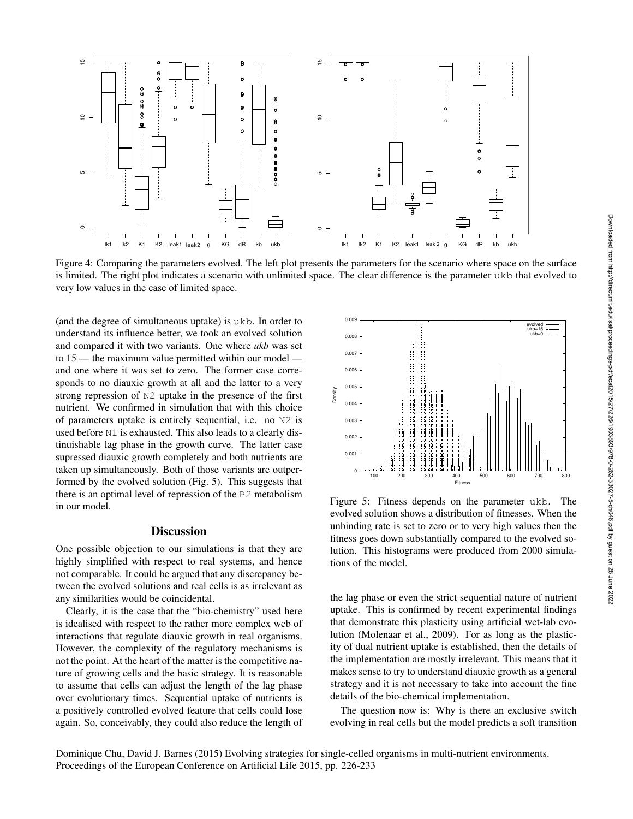

(and the degree of simultaneous uptake) is ukb. In order to understand its influence better, we took an evolved solution and compared it with two variants. One where *ukb* was set to 15 — the maximum value permitted within our model and one where it was set to zero. The former case corresponds to no diauxic growth at all and the latter to a very strong repression of N2 uptake in the presence of the first nutrient. We confirmed in simulation that with this choice of parameters uptake is entirely sequential, i.e. no N2 is used before N1 is exhausted. This also leads to a clearly distinuishable lag phase in the growth curve. The latter case supressed diauxic growth completely and both nutrients are taken up simultaneously. Both of those variants are outperformed by the evolved solution (Fig. 5). This suggests that there is an optimal level of repression of the P2 metabolism Density

0 5<br>10<br>15

Ю

 $\circ$ 

 $\tilde{=}$ 

 $\frac{8}{9}$ 

 $\boldsymbol{8}$ 

호

 $\overline{5}$ 

in our model.

# **Discussion**

One possible objection to our simulations is that they are highly simplified with respect to real systems, and hence not comparable. It could be argued that any discrepancy between the evolved solutions and real cells is as irrelevant as any similarities would be coincidental.

Clearly, it is the case that the "bio-chemistry" used here is idealised with respect to the rather more complex web of interactions that regulate diauxic growth in real organisms. However, the complexity of the regulatory mechanisms is not the point. At the heart of the matter is the competitive nature of growing cells and the basic strategy. It is reasonable to assume that cells can adjust the length of the lag phase over evolutionary times. Sequential uptake of nutrients is a positively controlled evolved feature that cells could lose again. So, conceivably, they could also reduce the length of



Figure 5: Fitness depends on the parameter ukb. The evolved solution shows a distribution of fitnesses. When the unbinding rate is set to zero or to very high values then the fitness goes down substantially compared to the evolved solution. This histograms were produced from 2000 simulations of the model.

the lag phase or even the strict sequential nature of nutrient uptake. This is confirmed by recent experimental findings that demonstrate this plasticity using artificial wet-lab evolution (Molenaar et al., 2009). For as long as the plasticity of dual nutrient uptake is established, then the details of the implementation are mostly irrelevant. This means that it makes sense to try to understand diauxic growth as a general strategy and it is not necessary to take into account the fine details of the bio-chemical implementation.

The question now is: Why is there an exclusive switch evolving in real cells but the model predicts a soft transition